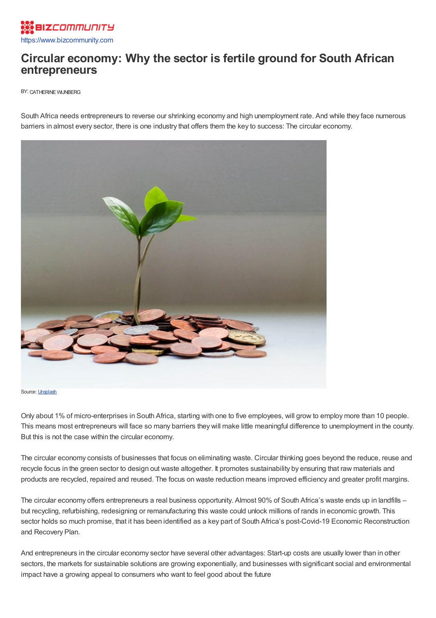

# **Circular economy: Why the sector is fertile ground for South African entrepreneurs**

BY: [CATHERINE](https://www.bizcommunity.com/Search.aspx?196/837&s=Catherine+Wijnberg) WIJNBERG

South Africa needs entrepreneurs to reverse our shrinking economy and high unemployment rate. And while they face numerous barriers in almost every sector, there is one industry that offers them the key to success: The circular economy.



Source: [Unsplash](https://unsplash.com/)

Only about 1% of micro-enterprises in South Africa, starting with one to five employees, will grow to employ more than 10 people. This means most entrepreneurs will face so many barriers they will make little meaningful difference to unemployment in the county. But this is not the case within the circular economy.

The circular economy consists of businesses that focus on eliminating waste. Circular thinking goes beyond the reduce, reuse and recycle focus in the green sector to design out waste altogether. It promotes sustainability by ensuring that raw materials and products are recycled, repaired and reused. The focus on waste reduction means improved efficiency and greater profit margins.

The circular economy offers entrepreneurs a real business opportunity. Almost 90% of South Africa's waste ends up in landfills – but recycling, refurbishing, redesigning or remanufacturing this waste could unlock millions of rands in economic growth. This sector holds so much promise, that it has been identified as a key part of South Africa's post-Covid-19 Economic Reconstruction and Recovery Plan.

And entrepreneurs in the circular economy sector have several other advantages: Start-up costs are usually lower than in other sectors, the markets for sustainable solutions are growing exponentially, and businesses with significant social and environmental impact have a growing appeal to consumers who want to feel good about the future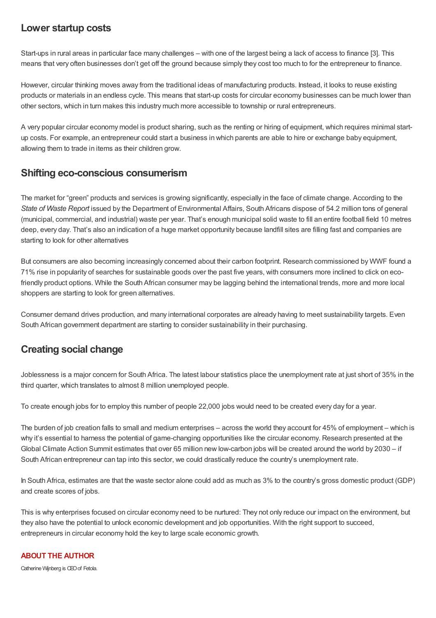### **Lower startup costs**

Start-ups in rural areas in particular face many challenges – with one of the largest being a lack of access to finance [3]. This means that very often businesses don't get off the ground because simply they cost too much to for the entrepreneur to finance.

However, circular thinking moves away from the traditional ideas of manufacturing products. Instead, it looks to reuse existing products or materials in an endless cycle. This means that start-up costs for circular economy businesses can be much lower than other sectors, which in turn makes this industry much more accessible to township or rural entrepreneurs.

A very popular circular economy model is product sharing, such as the renting or hiring of equipment, which requires minimal startup costs. For example, an entrepreneur could start a business in which parents are able to hire or exchange baby equipment, allowing them to trade in items as their children grow.

### **Shifting eco-conscious consumerism**

The market for "green" products and services is growing significantly, especially in the face of climate change. According to the *State of Waste Report* issued by the Department of Environmental Affairs, South Africans dispose of 54.2 million tons of general (municipal, commercial, and industrial) waste per year. That's enough municipal solid waste to fill an entire football field 10 metres deep, every day. That's also an indication of a huge market opportunity because landfill sites are filling fast and companies are starting to look for other alternatives

But consumers are also becoming increasingly concerned about their carbon footprint. Research commissioned by WWF found a 71% rise in popularity of searches for sustainable goods over the past five years, with consumers more inclined to click on ecofriendly product options. While the South African consumer may be lagging behind the international trends, more and more local shoppers are starting to look for green alternatives.

Consumer demand drives production, and many international corporates are already having to meet sustainability targets. Even South African government department are starting to consider sustainability in their purchasing.

## **Creating social change**

Joblessness is a major concern for South Africa. The latest labour statistics place the unemployment rate at just short of 35% in the third quarter, which translates to almost 8 million unemployed people.

To create enough jobs for to employ this number of people 22,000 jobs would need to be created every day for a year.

The burden of job creation falls to small and medium enterprises – across the world they account for 45% of employment – which is why it's essential to harness the potential of game-changing opportunities like the circular economy. Research presented at the Global Climate Action Summit estimates that over 65 million new low-carbon jobs will be created around the world by 2030 – if South African entrepreneur can tap into this sector, we could drastically reduce the country's unemployment rate.

In South Africa, estimates are that the waste sector alone could add as much as 3% to the country's gross domestic product (GDP) and create scores of jobs.

This is why enterprises focused on circular economy need to be nurtured: They not only reduce our impact on the environment, but they also have the potential to unlock economic development and job opportunities. With the right support to succeed, entrepreneurs in circular economy hold the key to large scale economic growth.

#### **ABOUT THE AUTHOR**

Catherine Wijnberg is CEO of Fetola.